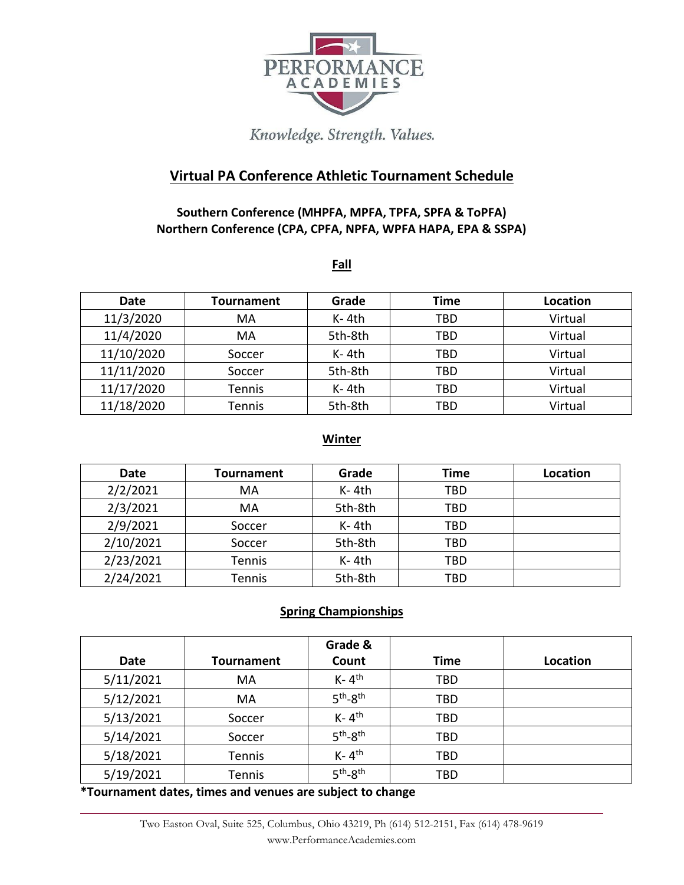

# Knowledge. Strength. Values.

## **Virtual PA Conference Athletic Tournament Schedule**

## **Southern Conference (MHPFA, MPFA, TPFA, SPFA & ToPFA) Northern Conference (CPA, CPFA, NPFA, WPFA HAPA, EPA & SSPA)**

#### **Fall**

| <b>Date</b> | <b>Tournament</b> | Grade   | Time | Location |
|-------------|-------------------|---------|------|----------|
| 11/3/2020   | MA                | $K-4th$ | TBD  | Virtual  |
| 11/4/2020   | MA                | 5th-8th | TBD  | Virtual  |
| 11/10/2020  | Soccer            | $K-4th$ | TBD  | Virtual  |
| 11/11/2020  | Soccer            | 5th-8th | TBD  | Virtual  |
| 11/17/2020  | <b>Tennis</b>     | $K-4th$ | TBD  | Virtual  |
| 11/18/2020  | <b>Tennis</b>     | 5th-8th | TBD  | Virtual  |

### **Winter**

| Date      | <b>Tournament</b> | Grade   | Time       | Location |
|-----------|-------------------|---------|------------|----------|
| 2/2/2021  | MA                | $K-4th$ | <b>TBD</b> |          |
| 2/3/2021  | MA                | 5th-8th | TBD        |          |
| 2/9/2021  | Soccer            | $K-4th$ | TBD        |          |
| 2/10/2021 | Soccer            | 5th-8th | TBD        |          |
| 2/23/2021 | Tennis            | $K-4th$ | TBD        |          |
| 2/24/2021 | Tennis            | 5th-8th | TBD        |          |

### **Spring Championships**

| <b>Date</b> | <b>Tournament</b> | Grade &<br>Count                 | <b>Time</b> | Location |
|-------------|-------------------|----------------------------------|-------------|----------|
| 5/11/2021   | MA                | $K - 4$ <sup>th</sup>            | TBD         |          |
| 5/12/2021   | MA                | $5th-8th$                        | TBD         |          |
| 5/13/2021   | Soccer            | $K - 4$ <sup>th</sup>            | TBD         |          |
| 5/14/2021   | Soccer            | $5th-8th$                        | TBD         |          |
| 5/18/2021   | Tennis            | $K - 4$ <sup>th</sup>            | TBD         |          |
| 5/19/2021   | Tennis            | 5 <sup>th</sup> -8 <sup>th</sup> | TBD         |          |

**\*Tournament dates, times and venues are subject to change**